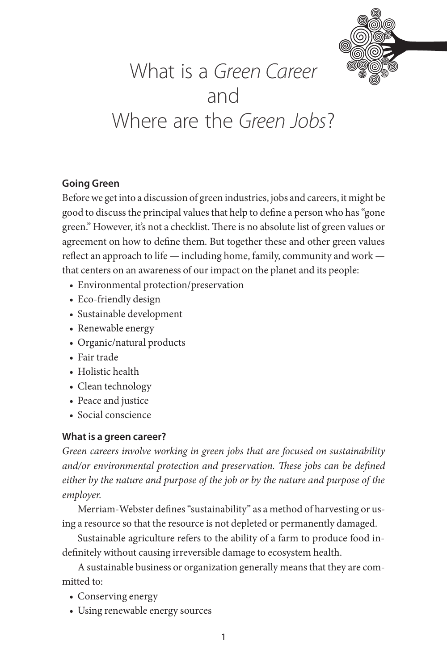

# What is a *Green Career* and Where are the *Green Jobs*?

# **Going Green**

Before we get into a discussion of green industries, jobs and careers, it might be good to discuss the principal values that help to define a person who has "gone green." However, it's not a checklist. There is no absolute list of green values or agreement on how to define them. But together these and other green values reflect an approach to life — including home, family, community and work that centers on an awareness of our impact on the planet and its people:

- Environmental protection/preservation
- Eco-friendly design
- Sustainable development
- Renewable energy
- Organic/natural products
- • Fair trade
- Holistic health
- Clean technology
- Peace and justice
- Social conscience

# **What is a green career?**

*Green careers involve working in green jobs that are focused on sustainability and/or environmental protection and preservation. These jobs can be defined either by the nature and purpose of the job or by the nature and purpose of the employer.*

Merriam-Webster defines "sustainability" as a method of harvesting or using a resource so that the resource is not depleted or permanently damaged.

Sustainable agriculture refers to the ability of a farm to produce food indefinitely without causing irreversible damage to ecosystem health.

A sustainable business or organization generally means that they are committed to:

- • Conserving energy
- • Using renewable energy sources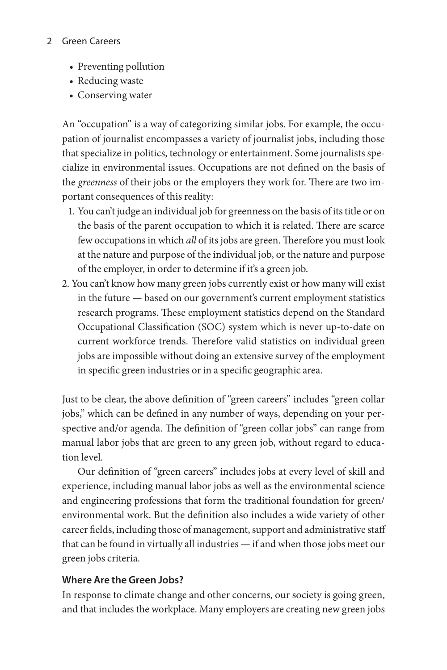- Preventing pollution
- Reducing waste
- • Conserving water

An "occupation" is a way of categorizing similar jobs. For example, the occupation of journalist encompasses a variety of journalist jobs, including those that specialize in politics, technology or entertainment. Some journalists specialize in environmental issues. Occupations are not defined on the basis of the *greenness* of their jobs or the employers they work for. There are two important consequences of this reality:

- 1. You can't judge an individual job for greenness on the basis of its title or on the basis of the parent occupation to which it is related. There are scarce few occupations in which *all* of its jobs are green. Therefore you must look at the nature and purpose of the individual job, or the nature and purpose of the employer, in order to determine if it's a green job.
- 2. You can't know how many green jobs currently exist or how many will exist in the future — based on our government's current employment statistics research programs. These employment statistics depend on the Standard Occupational Classification (SOC) system which is never up-to-date on current workforce trends. Therefore valid statistics on individual green jobs are impossible without doing an extensive survey of the employment in specific green industries or in a specific geographic area.

Just to be clear, the above definition of "green careers" includes "green collar jobs," which can be defined in any number of ways, depending on your perspective and/or agenda. The definition of "green collar jobs" can range from manual labor jobs that are green to any green job, without regard to education level.

Our definition of "green careers" includes jobs at every level of skill and experience, including manual labor jobs as well as the environmental science and engineering professions that form the traditional foundation for green/ environmental work. But the definition also includes a wide variety of other career fields, including those of management, support and administrative staff that can be found in virtually all industries — if and when those jobs meet our green jobs criteria.

# **Where Are the Green Jobs?**

In response to climate change and other concerns, our society is going green, and that includes the workplace. Many employers are creating new green jobs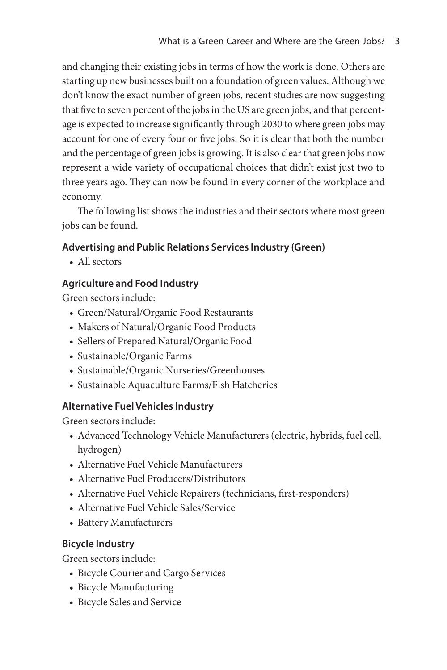and changing their existing jobs in terms of how the work is done. Others are starting up new businesses built on a foundation of green values. Although we don't know the exact number of green jobs, recent studies are now suggesting that five to seven percent of the jobs in the US are green jobs, and that percentage is expected to increase significantly through 2030 to where green jobs may account for one of every four or five jobs. So it is clear that both the number and the percentage of green jobs is growing. It is also clear that green jobs now represent a wide variety of occupational choices that didn't exist just two to three years ago. They can now be found in every corner of the workplace and economy.

The following list shows the industries and their sectors where most green jobs can be found.

# **Advertising and Public Relations Services Industry (Green)**

• All sectors

# **Agriculture and Food Industry**

Green sectors include:

- Green/Natural/Organic Food Restaurants
- Makers of Natural/Organic Food Products
- Sellers of Prepared Natural/Organic Food
- • Sustainable/Organic Farms
- Sustainable/Organic Nurseries/Greenhouses
- Sustainable Aquaculture Farms/Fish Hatcheries

# **Alternative Fuel Vehicles Industry**

Green sectors include:

- Advanced Technology Vehicle Manufacturers (electric, hybrids, fuel cell, hydrogen)
- • Alternative Fuel Vehicle Manufacturers
- Alternative Fuel Producers/Distributors
- Alternative Fuel Vehicle Repairers (technicians, first-responders)
- Alternative Fuel Vehicle Sales/Service
- • Battery Manufacturers

# **Bicycle Industry**

Green sectors include:

- Bicycle Courier and Cargo Services
- Bicycle Manufacturing
- • Bicycle Sales and Service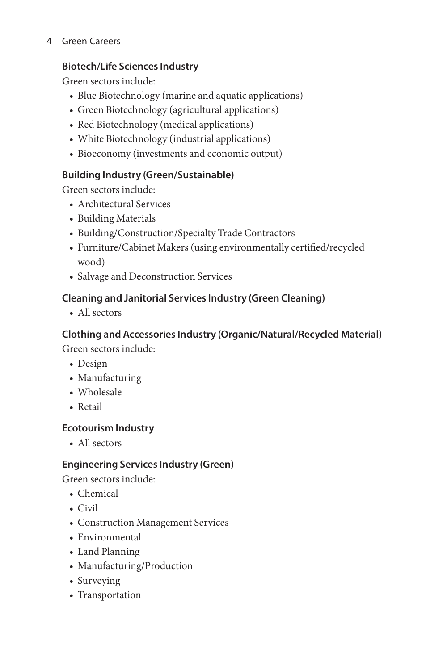### **Biotech/Life Sciences Industry**

Green sectors include:

- Blue Biotechnology (marine and aquatic applications)
- Green Biotechnology (agricultural applications)
- Red Biotechnology (medical applications)
- White Biotechnology (industrial applications)
- • Bioeconomy (investments and economic output)

# **Building Industry (Green/Sustainable)**

Green sectors include:

- • Architectural Services
- Building Materials
- Building/Construction/Specialty Trade Contractors
- Furniture/Cabinet Makers (using environmentally certified/recycled wood)
- Salvage and Deconstruction Services

# **Cleaning and Janitorial Services Industry (Green Cleaning)**

• All sectors

# **Clothing and Accessories Industry (Organic/Natural/Recycled Material)**

Green sectors include:

- Design
- Manufacturing
- Wholesale
- • Retail

# **Ecotourism Industry**

• All sectors

# **Engineering Services Industry (Green)**

Green sectors include:

- • Chemical
- Civil
- • Construction Management Services
- Environmental
- Land Planning
- Manufacturing/Production
- Surveying
- Transportation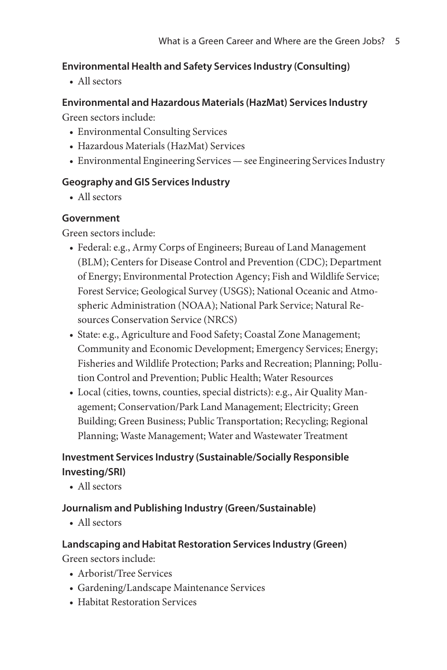# **Environmental Health and Safety Services Industry (Consulting)**

• All sectors

# **Environmental and Hazardous Materials (HazMat) Services Industry**

Green sectors include:

- Environmental Consulting Services
- Hazardous Materials (HazMat) Services
- Environmental Engineering Services see Engineering Services Industry

# **Geography and GIS Services Industry**

• All sectors

# **Government**

Green sectors include:

- Federal: e.g., Army Corps of Engineers; Bureau of Land Management (BLM); Centers for Disease Control and Prevention (CDC); Department of Energy; Environmental Protection Agency; Fish and Wildlife Service; Forest Service; Geological Survey (USGS); National Oceanic and Atmospheric Administration (NOAA); National Park Service; Natural Resources Conservation Service (NRCS)
- State: e.g., Agriculture and Food Safety; Coastal Zone Management; Community and Economic Development; Emergency Services; Energy; Fisheries and Wildlife Protection; Parks and Recreation; Planning; Pollution Control and Prevention; Public Health; Water Resources
- Local (cities, towns, counties, special districts): e.g., Air Quality Management; Conservation/Park Land Management; Electricity; Green Building; Green Business; Public Transportation; Recycling; Regional Planning; Waste Management; Water and Wastewater Treatment

# **Investment Services Industry (Sustainable/Socially Responsible Investing/SRI)**

• All sectors

# **Journalism and Publishing Industry (Green/Sustainable)**

• All sectors

### **Landscaping and Habitat Restoration Services Industry (Green)** Green sectors include:

- Arborist/Tree Services
- • Gardening/Landscape Maintenance Services
- Habitat Restoration Services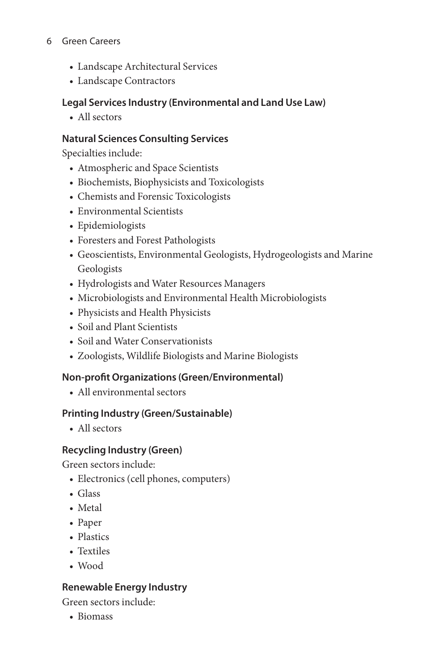- Landscape Architectural Services
- Landscape Contractors

# **Legal Services Industry (Environmental and Land Use Law)**

• All sectors

# **Natural Sciences Consulting Services**

Specialties include:

- • Atmospheric and Space Scientists
- • Biochemists, Biophysicists and Toxicologists
- • Chemists and Forensic Toxicologists
- Environmental Scientists
- Epidemiologists
- Foresters and Forest Pathologists
- Geoscientists, Environmental Geologists, Hydrogeologists and Marine Geologists
- Hydrologists and Water Resources Managers
- Microbiologists and Environmental Health Microbiologists
- Physicists and Health Physicists
- Soil and Plant Scientists
- Soil and Water Conservationists
- • Zoologists, Wildlife Biologists and Marine Biologists

# **Non-profit Organizations (Green/Environmental)**

• All environmental sectors

# **Printing Industry (Green/Sustainable)**

• All sectors

# **Recycling Industry (Green)**

Green sectors include:

- Electronics (cell phones, computers)
- Glass
- Metal
- Paper
- Plastics
- • Textiles
- • Wood

# **Renewable Energy Industry**

Green sectors include:

• Biomass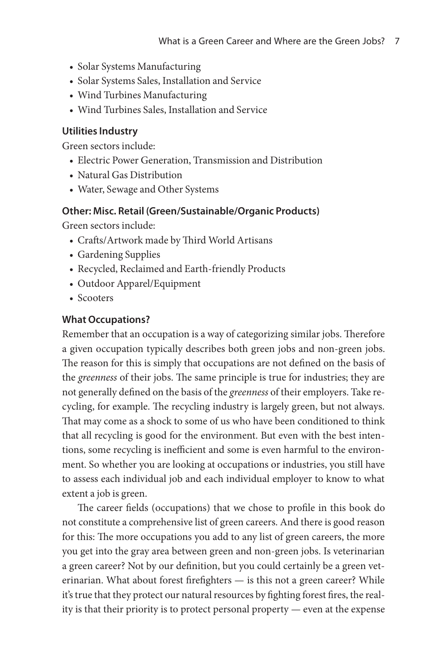- Solar Systems Manufacturing
- Solar Systems Sales, Installation and Service
- Wind Turbines Manufacturing
- Wind Turbines Sales, Installation and Service

#### **Utilities Industry**

Green sectors include:

- Electric Power Generation, Transmission and Distribution
- • Natural Gas Distribution
- Water, Sewage and Other Systems

#### **Other: Misc. Retail (Green/Sustainable/Organic Products)**

Green sectors include:

- • Crafts/Artwork made by Third World Artisans
- Gardening Supplies
- Recycled, Reclaimed and Earth-friendly Products
- Outdoor Apparel/Equipment
- Scooters

#### **What Occupations?**

Remember that an occupation is a way of categorizing similar jobs. Therefore a given occupation typically describes both green jobs and non-green jobs. The reason for this is simply that occupations are not defined on the basis of the *greenness* of their jobs. The same principle is true for industries; they are not generally defined on the basis of the *greenness* of their employers. Take recycling, for example. The recycling industry is largely green, but not always. That may come as a shock to some of us who have been conditioned to think that all recycling is good for the environment. But even with the best intentions, some recycling is inefficient and some is even harmful to the environment. So whether you are looking at occupations or industries, you still have to assess each individual job and each individual employer to know to what extent a job is green.

The career fields (occupations) that we chose to profile in this book do not constitute a comprehensive list of green careers. And there is good reason for this: The more occupations you add to any list of green careers, the more you get into the gray area between green and non-green jobs. Is veterinarian a green career? Not by our definition, but you could certainly be a green veterinarian. What about forest firefighters — is this not a green career? While it's true that they protect our natural resources by fighting forest fires, the reality is that their priority is to protect personal property — even at the expense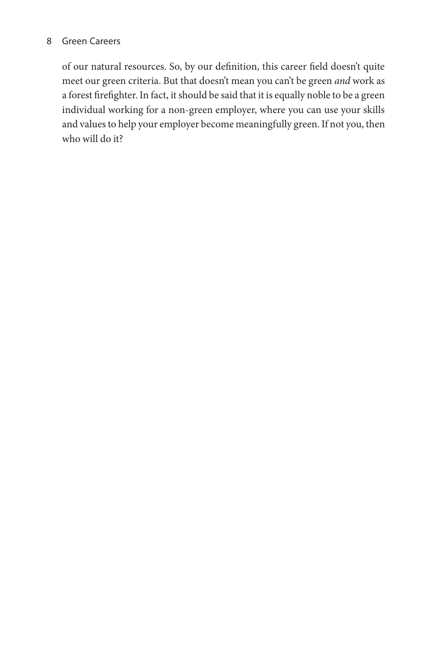of our natural resources. So, by our definition, this career field doesn't quite meet our green criteria. But that doesn't mean you can't be green *and* work as a forest firefighter. In fact, it should be said that it is equally noble to be a green individual working for a non-green employer, where you can use your skills and values to help your employer become meaningfully green. If not you, then who will do it?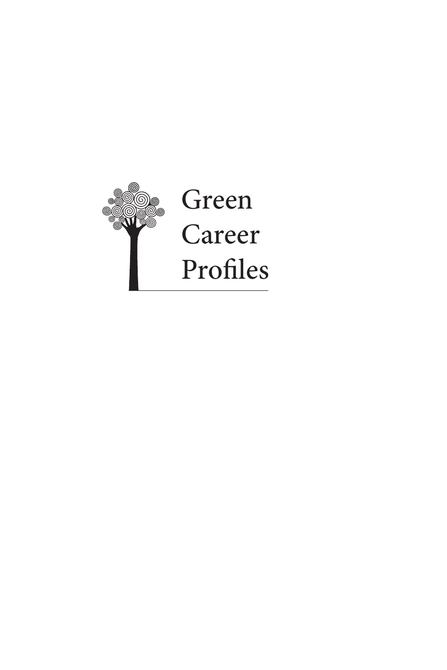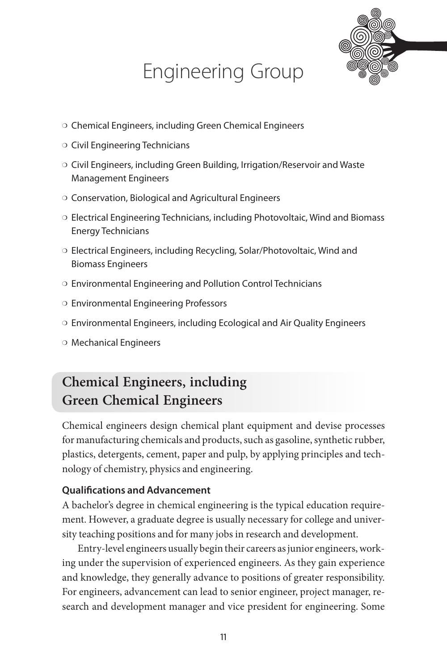

# Engineering Group

- ❍ Chemical Engineers, including Green Chemical Engineers
- ❍ Civil Engineering Technicians
- ❍ Civil Engineers, including Green Building, Irrigation/Reservoir and Waste Management Engineers
- ❍ Conservation, Biological and Agricultural Engineers
- ❍ Electrical Engineering Technicians, including Photovoltaic, Wind and Biomass Energy Technicians
- ❍ Electrical Engineers, including Recycling, Solar/Photovoltaic, Wind and Biomass Engineers
- ❍ Environmental Engineering and Pollution Control Technicians
- ❍ Environmental Engineering Professors
- ❍ Environmental Engineers, including Ecological and Air Quality Engineers
- ❍ Mechanical Engineers

# **Chemical Engineers, including Green Chemical Engineers**

Chemical engineers design chemical plant equipment and devise processes for manufacturing chemicals and products, such as gasoline, synthetic rubber, plastics, detergents, cement, paper and pulp, by applying principles and technology of chemistry, physics and engineering.

#### **Qualifications and Advancement**

A bachelor's degree in chemical engineering is the typical education requirement. However, a graduate degree is usually necessary for college and university teaching positions and for many jobs in research and development.

Entry-level engineers usually begin their careers as junior engineers, working under the supervision of experienced engineers. As they gain experience and knowledge, they generally advance to positions of greater responsibility. For engineers, advancement can lead to senior engineer, project manager, research and development manager and vice president for engineering. Some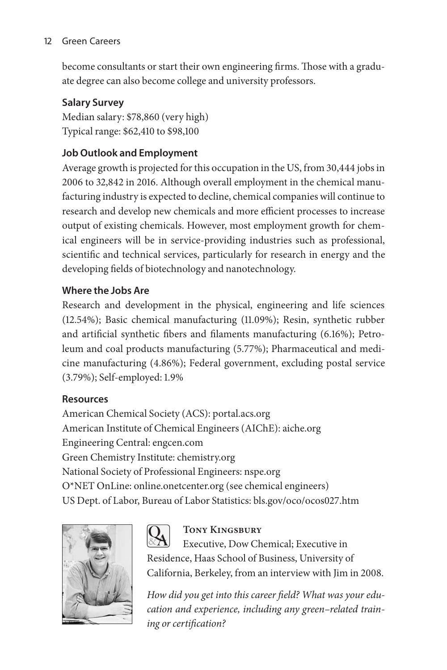become consultants or start their own engineering firms. Those with a graduate degree can also become college and university professors.

# **Salary Survey**

Median salary: \$78,860 (very high) Typical range: \$62,410 to \$98,100

# **Job Outlook and Employment**

Average growth is projected for this occupation in the US, from 30,444 jobs in 2006 to 32,842 in 2016. Although overall employment in the chemical manufacturing industry is expected to decline, chemical companies will continue to research and develop new chemicals and more efficient processes to increase output of existing chemicals. However, most employment growth for chemical engineers will be in service-providing industries such as professional, scientific and technical services, particularly for research in energy and the developing fields of biotechnology and nanotechnology.

# **Where the Jobs Are**

Research and development in the physical, engineering and life sciences (12.54%); Basic chemical manufacturing (11.09%); Resin, synthetic rubber and artificial synthetic fibers and filaments manufacturing (6.16%); Petroleum and coal products manufacturing (5.77%); Pharmaceutical and medicine manufacturing (4.86%); Federal government, excluding postal service (3.79%); Self-employed: 1.9%

# **Resources**

American Chemical Society (ACS): portal.acs.org American Institute of Chemical Engineers (AIChE): aiche.org Engineering Central: engcen.com Green Chemistry Institute: chemistry.org National Society of Professional Engineers: nspe.org O\*NET OnLine: online.onetcenter.org (see chemical engineers) US Dept. of Labor, Bureau of Labor Statistics: bls.gov/oco/ocos027.htm



 $\overline{\mathbf{Q}_{\!\!\mathbf{A}}}$ **TONY KINGSBURY** 

 $\alpha$ Executive, Dow Chemical; Executive in Residence, Haas School of Business, University of California, Berkeley, from an interview with Jim in 2008.

*How did you get into this career field? What was your education and experience, including any green–related training or certification?*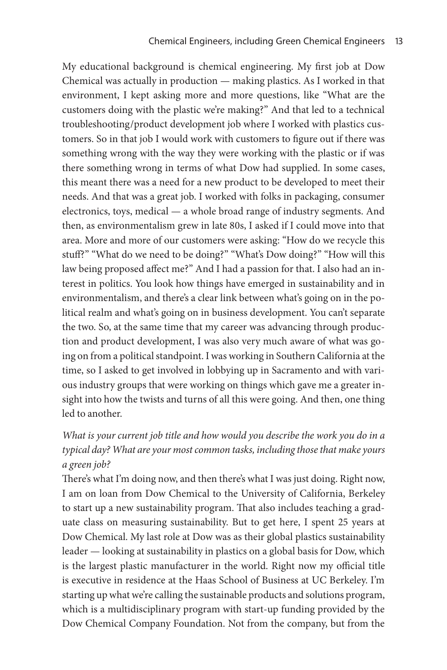My educational background is chemical engineering. My first job at Dow Chemical was actually in production — making plastics. As I worked in that environment, I kept asking more and more questions, like "What are the customers doing with the plastic we're making?" And that led to a technical troubleshooting/product development job where I worked with plastics customers. So in that job I would work with customers to figure out if there was something wrong with the way they were working with the plastic or if was there something wrong in terms of what Dow had supplied. In some cases, this meant there was a need for a new product to be developed to meet their needs. And that was a great job. I worked with folks in packaging, consumer electronics, toys, medical — a whole broad range of industry segments. And then, as environmentalism grew in late 80s, I asked if I could move into that area. More and more of our customers were asking: "How do we recycle this stuff?" "What do we need to be doing?" "What's Dow doing?" "How will this law being proposed affect me?" And I had a passion for that. I also had an interest in politics. You look how things have emerged in sustainability and in environmentalism, and there's a clear link between what's going on in the political realm and what's going on in business development. You can't separate the two. So, at the same time that my career was advancing through production and product development, I was also very much aware of what was going on from a political standpoint. I was working in Southern California at the time, so I asked to get involved in lobbying up in Sacramento and with various industry groups that were working on things which gave me a greater insight into how the twists and turns of all this were going. And then, one thing led to another.

# *What is your current job title and how would you describe the work you do in a typical day? What are your most common tasks, including those that make yours a green job?*

There's what I'm doing now, and then there's what I was just doing. Right now, I am on loan from Dow Chemical to the University of California, Berkeley to start up a new sustainability program. That also includes teaching a graduate class on measuring sustainability. But to get here, I spent 25 years at Dow Chemical. My last role at Dow was as their global plastics sustainability leader — looking at sustainability in plastics on a global basis for Dow, which is the largest plastic manufacturer in the world. Right now my official title is executive in residence at the Haas School of Business at UC Berkeley. I'm starting up what we're calling the sustainable products and solutions program, which is a multidisciplinary program with start-up funding provided by the Dow Chemical Company Foundation. Not from the company, but from the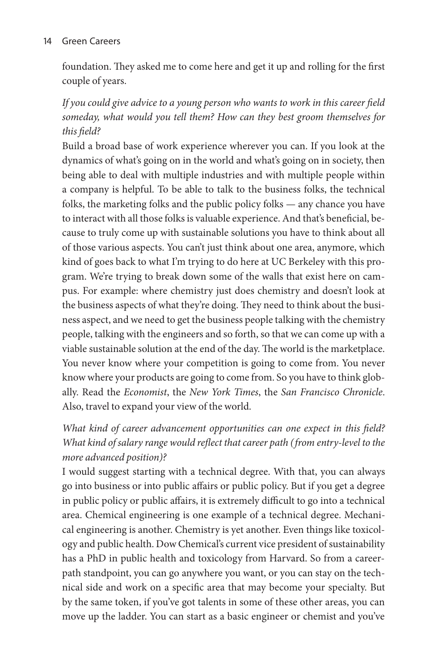foundation. They asked me to come here and get it up and rolling for the first couple of years.

# *If you could give advice to a young person who wants to work in this career field someday, what would you tell them? How can they best groom themselves for this field?*

Build a broad base of work experience wherever you can. If you look at the dynamics of what's going on in the world and what's going on in society, then being able to deal with multiple industries and with multiple people within a company is helpful. To be able to talk to the business folks, the technical folks, the marketing folks and the public policy folks — any chance you have to interact with all those folks is valuable experience. And that's beneficial, because to truly come up with sustainable solutions you have to think about all of those various aspects. You can't just think about one area, anymore, which kind of goes back to what I'm trying to do here at UC Berkeley with this program. We're trying to break down some of the walls that exist here on campus. For example: where chemistry just does chemistry and doesn't look at the business aspects of what they're doing. They need to think about the business aspect, and we need to get the business people talking with the chemistry people, talking with the engineers and so forth, so that we can come up with a viable sustainable solution at the end of the day. The world is the marketplace. You never know where your competition is going to come from. You never know where your products are going to come from. So you have to think globally. Read the *Economist*, the *New York Times*, the *San Francisco Chronicle*. Also, travel to expand your view of the world.

# *What kind of career advancement opportunities can one expect in this field? What kind of salary range would reflect that career path (from entry-level to the more advanced position)?*

I would suggest starting with a technical degree. With that, you can always go into business or into public affairs or public policy. But if you get a degree in public policy or public affairs, it is extremely difficult to go into a technical area. Chemical engineering is one example of a technical degree. Mechanical engineering is another. Chemistry is yet another. Even things like toxicology and public health. Dow Chemical's current vice president of sustainability has a PhD in public health and toxicology from Harvard. So from a careerpath standpoint, you can go anywhere you want, or you can stay on the technical side and work on a specific area that may become your specialty. But by the same token, if you've got talents in some of these other areas, you can move up the ladder. You can start as a basic engineer or chemist and you've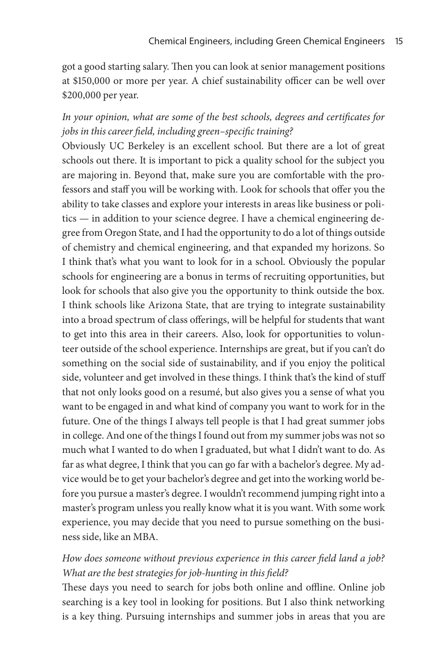got a good starting salary. Then you can look at senior management positions at \$150,000 or more per year. A chief sustainability officer can be well over \$200,000 per year.

# *In your opinion, what are some of the best schools, degrees and certificates for jobs in this career field, including green–specific training?*

Obviously UC Berkeley is an excellent school. But there are a lot of great schools out there. It is important to pick a quality school for the subject you are majoring in. Beyond that, make sure you are comfortable with the professors and staff you will be working with. Look for schools that offer you the ability to take classes and explore your interests in areas like business or politics — in addition to your science degree. I have a chemical engineering degree from Oregon State, and I had the opportunity to do a lot of things outside of chemistry and chemical engineering, and that expanded my horizons. So I think that's what you want to look for in a school. Obviously the popular schools for engineering are a bonus in terms of recruiting opportunities, but look for schools that also give you the opportunity to think outside the box. I think schools like Arizona State, that are trying to integrate sustainability into a broad spectrum of class offerings, will be helpful for students that want to get into this area in their careers. Also, look for opportunities to volunteer outside of the school experience. Internships are great, but if you can't do something on the social side of sustainability, and if you enjoy the political side, volunteer and get involved in these things. I think that's the kind of stuff that not only looks good on a resumé, but also gives you a sense of what you want to be engaged in and what kind of company you want to work for in the future. One of the things I always tell people is that I had great summer jobs in college. And one of the things I found out from my summer jobs was not so much what I wanted to do when I graduated, but what I didn't want to do. As far as what degree, I think that you can go far with a bachelor's degree. My advice would be to get your bachelor's degree and get into the working world before you pursue a master's degree. I wouldn't recommend jumping right into a master's program unless you really know what it is you want. With some work experience, you may decide that you need to pursue something on the business side, like an MBA.

#### *How does someone without previous experience in this career field land a job? What are the best strategies for job-hunting in this field?*

These days you need to search for jobs both online and offline. Online job searching is a key tool in looking for positions. But I also think networking is a key thing. Pursuing internships and summer jobs in areas that you are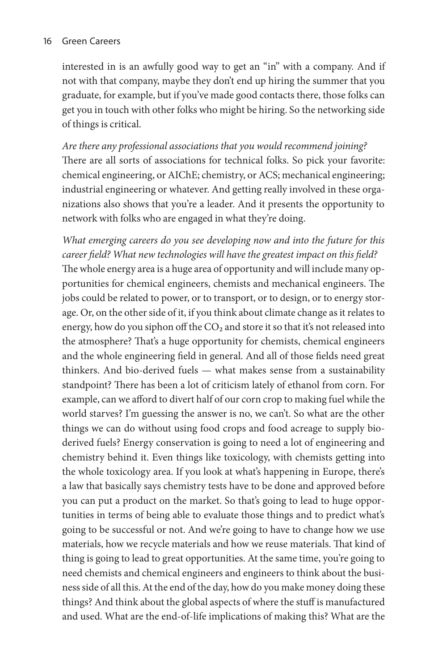interested in is an awfully good way to get an "in" with a company. And if not with that company, maybe they don't end up hiring the summer that you graduate, for example, but if you've made good contacts there, those folks can get you in touch with other folks who might be hiring. So the networking side of things is critical.

*Are there any professional associations that you would recommend joining?*  There are all sorts of associations for technical folks. So pick your favorite: chemical engineering, or AIChE; chemistry, or ACS; mechanical engineering; industrial engineering or whatever. And getting really involved in these organizations also shows that you're a leader. And it presents the opportunity to network with folks who are engaged in what they're doing.

*What emerging careers do you see developing now and into the future for this career field? What new technologies will have the greatest impact on this field?*  The whole energy area is a huge area of opportunity and will include many opportunities for chemical engineers, chemists and mechanical engineers. The jobs could be related to power, or to transport, or to design, or to energy storage. Or, on the other side of it, if you think about climate change as it relates to energy, how do you siphon off the  $CO<sub>2</sub>$  and store it so that it's not released into the atmosphere? That's a huge opportunity for chemists, chemical engineers and the whole engineering field in general. And all of those fields need great thinkers. And bio-derived fuels — what makes sense from a sustainability standpoint? There has been a lot of criticism lately of ethanol from corn. For example, can we afford to divert half of our corn crop to making fuel while the world starves? I'm guessing the answer is no, we can't. So what are the other things we can do without using food crops and food acreage to supply bioderived fuels? Energy conservation is going to need a lot of engineering and chemistry behind it. Even things like toxicology, with chemists getting into the whole toxicology area. If you look at what's happening in Europe, there's a law that basically says chemistry tests have to be done and approved before you can put a product on the market. So that's going to lead to huge opportunities in terms of being able to evaluate those things and to predict what's going to be successful or not. And we're going to have to change how we use materials, how we recycle materials and how we reuse materials. That kind of thing is going to lead to great opportunities. At the same time, you're going to need chemists and chemical engineers and engineers to think about the business side of all this. At the end of the day, how do you make money doing these things? And think about the global aspects of where the stuff is manufactured and used. What are the end-of-life implications of making this? What are the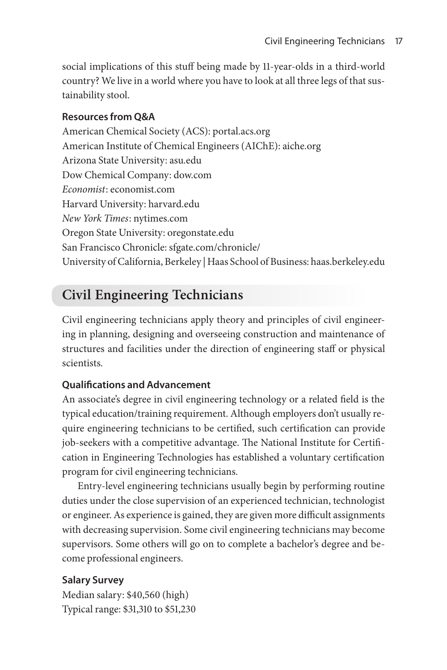social implications of this stuff being made by 11-year-olds in a third-world country? We live in a world where you have to look at all three legs of that sustainability stool.

#### **Resources from Q&A**

American Chemical Society (ACS): portal.acs.org American Institute of Chemical Engineers (AIChE): aiche.org Arizona State University: asu.edu Dow Chemical Company: dow.com *Economist*: economist.com Harvard University: harvard.edu *New York Times*: nytimes.com Oregon State University: oregonstate.edu San Francisco Chronicle: sfgate.com/chronicle/ University of California, Berkeley | Haas School of Business: haas.berkeley.edu

# **Civil Engineering Technicians**

Civil engineering technicians apply theory and principles of civil engineering in planning, designing and overseeing construction and maintenance of structures and facilities under the direction of engineering staff or physical scientists.

# **Qualifications and Advancement**

An associate's degree in civil engineering technology or a related field is the typical education/training requirement. Although employers don't usually require engineering technicians to be certified, such certification can provide job-seekers with a competitive advantage. The National Institute for Certification in Engineering Technologies has established a voluntary certification program for civil engineering technicians.

Entry-level engineering technicians usually begin by performing routine duties under the close supervision of an experienced technician, technologist or engineer. As experience is gained, they are given more difficult assignments with decreasing supervision. Some civil engineering technicians may become supervisors. Some others will go on to complete a bachelor's degree and become professional engineers.

# **Salary Survey**

Median salary: \$40,560 (high) Typical range: \$31,310 to \$51,230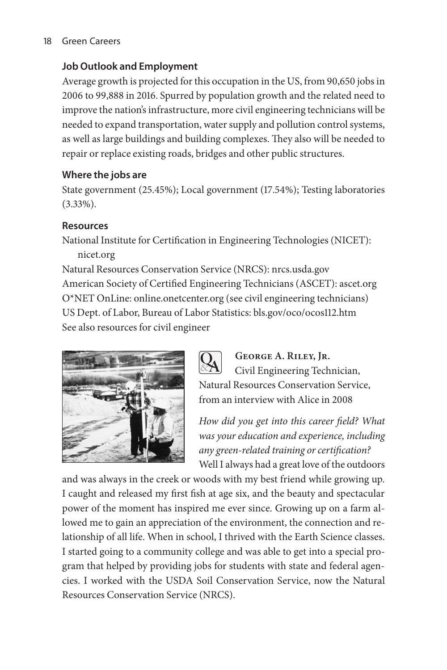# **Job Outlook and Employment**

Average growth is projected for this occupation in the US, from 90,650 jobs in 2006 to 99,888 in 2016. Spurred by population growth and the related need to improve the nation's infrastructure, more civil engineering technicians will be needed to expand transportation, water supply and pollution control systems, as well as large buildings and building complexes. They also will be needed to repair or replace existing roads, bridges and other public structures.

# **Where the jobs are**

State government (25.45%); Local government (17.54%); Testing laboratories (3.33%).

#### **Resources**

National Institute for Certification in Engineering Technologies (NICET):

nicet.org Natural Resources Conservation Service (NRCS): nrcs.usda.gov American Society of Certified Engineering Technicians (ASCET): ascet.org O\*NET OnLine: online.onetcenter.org (see civil engineering technicians) US Dept. of Labor, Bureau of Labor Statistics: bls.gov/oco/ocos112.htm See also resources for civil engineer



 $\alpha$ **QA** GEORGE A. RILEY, JR.<br>Civil Engineering Technician, Natural Resources Conservation Service, from an interview with Alice in 2008

*How did you get into this career field? What was your education and experience, including any green-related training or certification?*  Well I always had a great love of the outdoors

and was always in the creek or woods with my best friend while growing up. I caught and released my first fish at age six, and the beauty and spectacular power of the moment has inspired me ever since. Growing up on a farm allowed me to gain an appreciation of the environment, the connection and relationship of all life. When in school, I thrived with the Earth Science classes. I started going to a community college and was able to get into a special program that helped by providing jobs for students with state and federal agencies. I worked with the USDA Soil Conservation Service, now the Natural Resources Conservation Service (NRCS).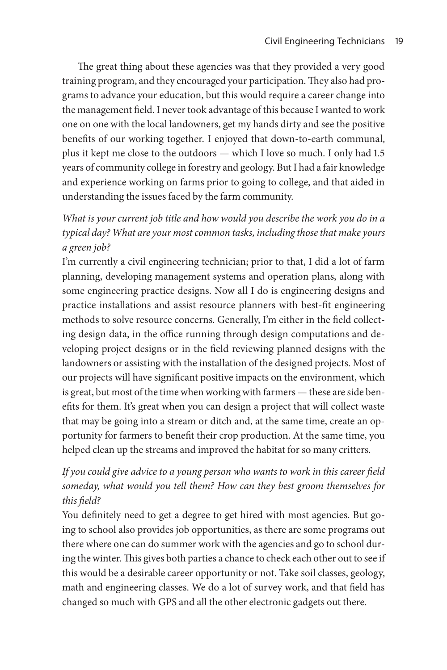The great thing about these agencies was that they provided a very good training program, and they encouraged your participation. They also had programs to advance your education, but this would require a career change into the management field. I never took advantage of this because I wanted to work one on one with the local landowners, get my hands dirty and see the positive benefits of our working together. I enjoyed that down-to-earth communal, plus it kept me close to the outdoors — which I love so much. I only had 1.5 years of community college in forestry and geology. But I had a fair knowledge and experience working on farms prior to going to college, and that aided in understanding the issues faced by the farm community.

# *What is your current job title and how would you describe the work you do in a typical day? What are your most common tasks, including those that make yours a green job?*

I'm currently a civil engineering technician; prior to that, I did a lot of farm planning, developing management systems and operation plans, along with some engineering practice designs. Now all I do is engineering designs and practice installations and assist resource planners with best-fit engineering methods to solve resource concerns. Generally, I'm either in the field collecting design data, in the office running through design computations and developing project designs or in the field reviewing planned designs with the landowners or assisting with the installation of the designed projects. Most of our projects will have significant positive impacts on the environment, which is great, but most of the time when working with farmers — these are side benefits for them. It's great when you can design a project that will collect waste that may be going into a stream or ditch and, at the same time, create an opportunity for farmers to benefit their crop production. At the same time, you helped clean up the streams and improved the habitat for so many critters.

# *If you could give advice to a young person who wants to work in this career field someday, what would you tell them? How can they best groom themselves for this field?*

You definitely need to get a degree to get hired with most agencies. But going to school also provides job opportunities, as there are some programs out there where one can do summer work with the agencies and go to school during the winter. This gives both parties a chance to check each other out to see if this would be a desirable career opportunity or not. Take soil classes, geology, math and engineering classes. We do a lot of survey work, and that field has changed so much with GPS and all the other electronic gadgets out there.